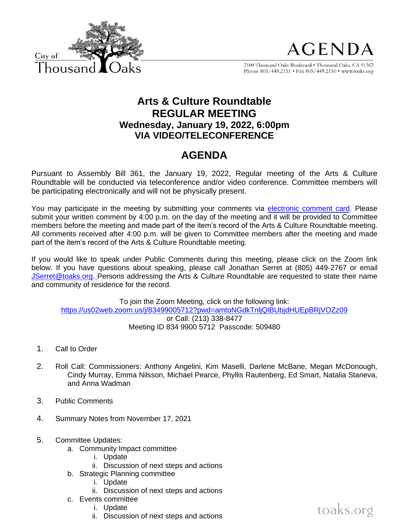

**AGENDA** 

2100 Thousand Oaks Boulevard . Thousand Oaks, CA 91362 Phone 805/449.2151 • Fax 805/449.2150 • www.toaks.org

## **Arts & Culture Roundtable REGULAR MEETING Wednesday, January 19, 2022, 6:00pm VIA VIDEO/TELECONFERENCE**

# **AGENDA**

Pursuant to Assembly Bill 361, the January 19, 2022, Regular meeting of the Arts & Culture Roundtable will be conducted via teleconference and/or video conference. Committee members will be participating electronically and will not be physically present.

You may participate in the meeting by submitting your comments via [electronic comment card.](https://forms.office.com/Pages/ResponsePage.aspx?id=8C-MGj-qX0ScrXR38aQKbLIWCihvbU1Gk8B8L9tD3xZUMUg4SFdHQjZWUk9YR0JKMlQ3QVJNTU80WS4u) Please submit your written comment by 4:00 p.m. on the day of the meeting and it will be provided to Committee members before the meeting and made part of the item's record of the Arts & Culture Roundtable meeting. All comments received after 4:00 p.m. will be given to Committee members after the meeting and made part of the item's record of the Arts & Culture Roundtable meeting.

If you would like to speak under Public Comments during this meeting, please click on the Zoom link below. If you have questions about speaking, please call Jonathan Serret at (805) 449-2767 or email [JSerret@toaks.org.](mailto:JSerret@toaks.org) Persons addressing the Arts & Culture Roundtable are requested to state their name and community of residence for the record.

To join the Zoom Meeting, click on the following link: <https://us02web.zoom.us/j/83499005712?pwd=amtoNGdkTnljQlBUbjdHUEpBRjVOZz09> or Call: (213) 338-8477 Meeting ID 834 9900 5712 Passcode: 509480

- 1. Call to Order
- 2. Roll Call: Commissioners: Anthony Angelini, Kim Maselli, Darlene McBane, Megan McDonough, Cindy Murray, Emma Nilsson, Michael Pearce, Phyllis Rautenberg, Ed Smart, Natalia Staneva, and Anna Wadman
- 3. Public Comments
- 4. Summary Notes from November 17, 2021
- 5. Committee Updates:
	- a. Community Impact committee
		- i. Update
		- ii. Discussion of next steps and actions
		- b. Strategic Planning committee
			- i. Update
			- ii. Discussion of next steps and actions
		- c. Events committee
			- i. Update
			- ii. Discussion of next steps and actions

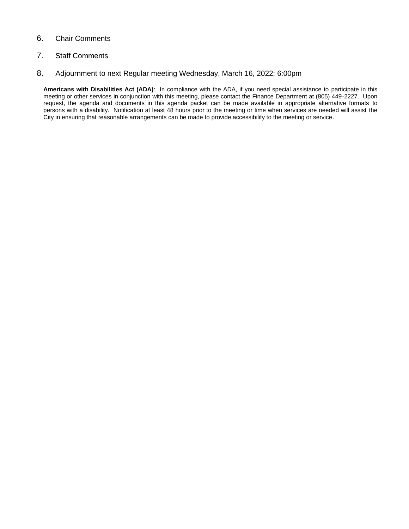#### 6. Chair Comments

#### 7. Staff Comments

#### 8. Adjournment to next Regular meeting Wednesday, March 16, 2022; 6:00pm

**Americans with Disabilities Act (ADA)**: In compliance with the ADA, if you need special assistance to participate in this meeting or other services in conjunction with this meeting, please contact the Finance Department at (805) 449-2227. Upon request, the agenda and documents in this agenda packet can be made available in appropriate alternative formats to persons with a disability. Notification at least 48 hours prior to the meeting or time when services are needed will assist the City in ensuring that reasonable arrangements can be made to provide accessibility to the meeting or service.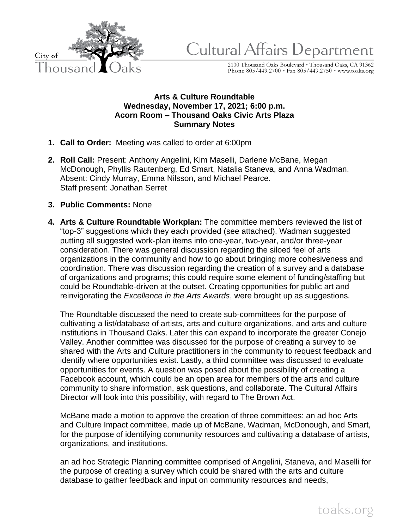

Cultural Affairs Department

2100 Thousand Oaks Boulevard \* Thousand Oaks, CA 91362<br>Phone 805/449.2700 \* Fax 805/449.2750 \* www.toaks.org

## **Arts & Culture Roundtable Wednesday, November 17, 2021; 6:00 p.m. Acorn Room – Thousand Oaks Civic Arts Plaza Summary Notes**

- **1. Call to Order:** Meeting was called to order at 6:00pm
- **2. Roll Call:** Present: Anthony Angelini, Kim Maselli, Darlene McBane, Megan McDonough, Phyllis Rautenberg, Ed Smart, Natalia Staneva, and Anna Wadman. Absent: Cindy Murray, Emma Nilsson, and Michael Pearce. Staff present: Jonathan Serret
- **3. Public Comments:** None
- **4. Arts & Culture Roundtable Workplan:** The committee members reviewed the list of "top-3" suggestions which they each provided (see attached). Wadman suggested putting all suggested work-plan items into one-year, two-year, and/or three-year consideration. There was general discussion regarding the siloed feel of arts organizations in the community and how to go about bringing more cohesiveness and coordination. There was discussion regarding the creation of a survey and a database of organizations and programs; this could require some element of funding/staffing but could be Roundtable-driven at the outset. Creating opportunities for public art and reinvigorating the *Excellence in the Arts Awards*, were brought up as suggestions.

The Roundtable discussed the need to create sub-committees for the purpose of cultivating a list/database of artists, arts and culture organizations, and arts and culture institutions in Thousand Oaks. Later this can expand to incorporate the greater Conejo Valley. Another committee was discussed for the purpose of creating a survey to be shared with the Arts and Culture practitioners in the community to request feedback and identify where opportunities exist. Lastly, a third committee was discussed to evaluate opportunities for events. A question was posed about the possibility of creating a Facebook account, which could be an open area for members of the arts and culture community to share information, ask questions, and collaborate. The Cultural Affairs Director will look into this possibility, with regard to The Brown Act.

McBane made a motion to approve the creation of three committees: an ad hoc Arts and Culture Impact committee, made up of McBane, Wadman, McDonough, and Smart, for the purpose of identifying community resources and cultivating a database of artists, organizations, and institutions,

an ad hoc Strategic Planning committee comprised of Angelini, Staneva, and Maselli for the purpose of creating a survey which could be shared with the arts and culture database to gather feedback and input on community resources and needs,

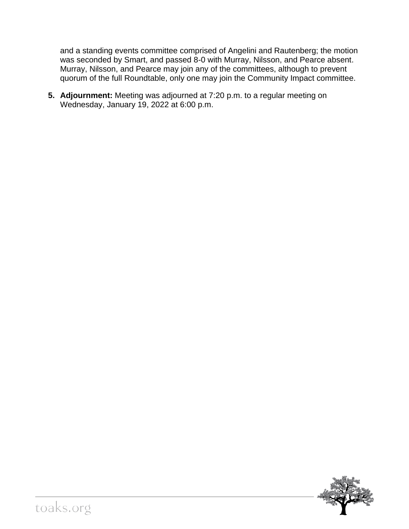and a standing events committee comprised of Angelini and Rautenberg; the motion was seconded by Smart, and passed 8-0 with Murray, Nilsson, and Pearce absent. Murray, Nilsson, and Pearce may join any of the committees, although to prevent quorum of the full Roundtable, only one may join the Community Impact committee.

**5. Adjournment:** Meeting was adjourned at 7:20 p.m. to a regular meeting on Wednesday, January 19, 2022 at 6:00 p.m.

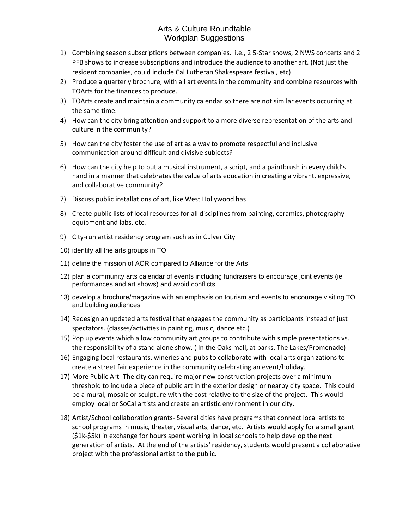## Arts & Culture Roundtable Workplan Suggestions

- 1) Combining season subscriptions between companies. i.e., 2 5-Star shows, 2 NWS concerts and 2 PFB shows to increase subscriptions and introduce the audience to another art. (Not just the resident companies, could include Cal Lutheran Shakespeare festival, etc)
- 2) Produce a quarterly brochure, with all art events in the community and combine resources with TOArts for the finances to produce.
- 3) TOArts create and maintain a community calendar so there are not similar events occurring at the same time.
- 4) How can the city bring attention and support to a more diverse representation of the arts and culture in the community?
- 5) How can the city foster the use of art as a way to promote respectful and inclusive communication around difficult and divisive subjects?
- 6) How can the city help to put a musical instrument, a script, and a paintbrush in every child's hand in a manner that celebrates the value of arts education in creating a vibrant, expressive, and collaborative community?
- 7) Discuss public installations of art, like West Hollywood has
- 8) Create public lists of local resources for all disciplines from painting, ceramics, photography equipment and labs, etc.
- 9) City-run artist residency program such as in Culver City
- 10) identify all the arts groups in TO
- 11) define the mission of ACR compared to Alliance for the Arts
- 12) plan a community arts calendar of events including fundraisers to encourage joint events (ie performances and art shows) and avoid conflicts
- 13) develop a brochure/magazine with an emphasis on tourism and events to encourage visiting TO and building audiences
- 14) Redesign an updated arts festival that engages the community as participants instead of just spectators. (classes/activities in painting, music, dance etc.)
- 15) Pop up events which allow community art groups to contribute with simple presentations vs. the responsibility of a stand alone show. ( In the Oaks mall, at parks, The Lakes/Promenade)
- 16) Engaging local restaurants, wineries and pubs to collaborate with local arts organizations to create a street fair experience in the community celebrating an event/holiday.
- 17) More Public Art- The city can require major new construction projects over a minimum threshold to include a piece of public art in the exterior design or nearby city space. This could be a mural, mosaic or sculpture with the cost relative to the size of the project. This would employ local or SoCal artists and create an artistic environment in our city.
- 18) Artist/School collaboration grants- Several cities have programs that connect local artists to school programs in music, theater, visual arts, dance, etc. Artists would apply for a small grant (\$1k-\$5k) in exchange for hours spent working in local schools to help develop the next generation of artists. At the end of the artists' residency, students would present a collaborative project with the professional artist to the public.